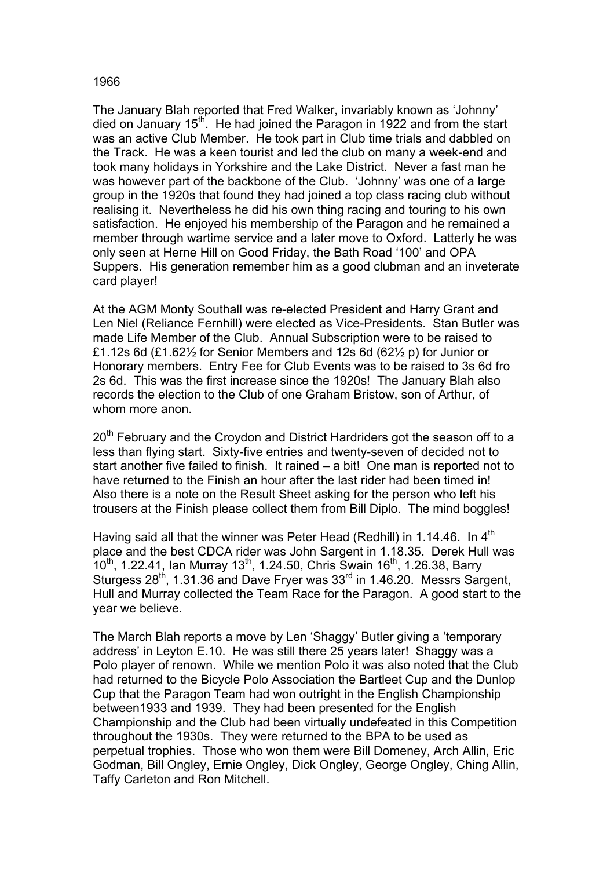## 1966

The January Blah reported that Fred Walker, invariably known as 'Johnny' died on January  $15<sup>th</sup>$ . He had joined the Paragon in 1922 and from the start was an active Club Member. He took part in Club time trials and dabbled on the Track. He was a keen tourist and led the club on many a week-end and took many holidays in Yorkshire and the Lake District. Never a fast man he was however part of the backbone of the Club. 'Johnny' was one of a large group in the 1920s that found they had joined a top class racing club without realising it. Nevertheless he did his own thing racing and touring to his own satisfaction. He enjoyed his membership of the Paragon and he remained a member through wartime service and a later move to Oxford. Latterly he was only seen at Herne Hill on Good Friday, the Bath Road '100' and OPA Suppers. His generation remember him as a good clubman and an inveterate card player!

At the AGM Monty Southall was re-elected President and Harry Grant and Len Niel (Reliance Fernhill) were elected as Vice-Presidents. Stan Butler was made Life Member of the Club. Annual Subscription were to be raised to £1.12s 6d (£1.62 $\frac{1}{2}$  for Senior Members and 12s 6d (62 $\frac{1}{2}$  p) for Junior or Honorary members. Entry Fee for Club Events was to be raised to 3s 6d fro 2s 6d. This was the first increase since the 1920s! The January Blah also records the election to the Club of one Graham Bristow, son of Arthur, of whom more anon

20<sup>th</sup> February and the Croydon and District Hardriders got the season off to a less than flying start. Sixty-five entries and twenty-seven of decided not to start another five failed to finish. It rained – a bit! One man is reported not to have returned to the Finish an hour after the last rider had been timed in! Also there is a note on the Result Sheet asking for the person who left his trousers at the Finish please collect them from Bill Diplo. The mind boggles!

Having said all that the winner was Peter Head (Redhill) in 1.14.46. In  $4<sup>th</sup>$ place and the best CDCA rider was John Sargent in 1.18.35. Derek Hull was 10<sup>th</sup>, 1.22.41, Ian Murray 13<sup>th</sup>, 1.24.50, Chris Swain 16<sup>th</sup>, 1.26.38, Barry Sturgess  $28<sup>th</sup>$ , 1.31.36 and Dave Fryer was  $33<sup>rd</sup>$  in 1.46.20. Messrs Sargent, Hull and Murray collected the Team Race for the Paragon. A good start to the year we believe.

The March Blah reports a move by Len 'Shaggy' Butler giving a 'temporary address' in Leyton E.10. He was still there 25 years later! Shaggy was a Polo player of renown. While we mention Polo it was also noted that the Club had returned to the Bicycle Polo Association the Bartleet Cup and the Dunlop Cup that the Paragon Team had won outright in the English Championship between1933 and 1939. They had been presented for the English Championship and the Club had been virtually undefeated in this Competition throughout the 1930s. They were returned to the BPA to be used as perpetual trophies. Those who won them were Bill Domeney, Arch Allin, Eric Godman, Bill Ongley, Ernie Ongley, Dick Ongley, George Ongley, Ching Allin, Taffy Carleton and Ron Mitchell.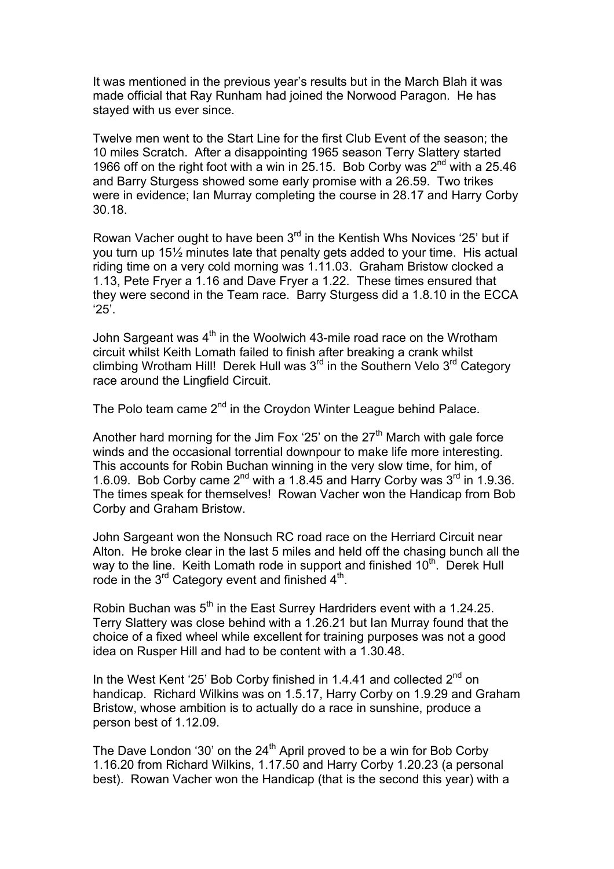It was mentioned in the previous year's results but in the March Blah it was made official that Ray Runham had joined the Norwood Paragon. He has stayed with us ever since.

Twelve men went to the Start Line for the first Club Event of the season; the 10 miles Scratch. After a disappointing 1965 season Terry Slattery started 1966 off on the right foot with a win in 25.15. Bob Corby was  $2^{nd}$  with a 25.46 and Barry Sturgess showed some early promise with a 26.59. Two trikes were in evidence; Ian Murray completing the course in 28.17 and Harry Corby 30.18.

Rowan Vacher ought to have been  $3<sup>rd</sup>$  in the Kentish Whs Novices '25' but if you turn up 15½ minutes late that penalty gets added to your time. His actual riding time on a very cold morning was 1.11.03. Graham Bristow clocked a 1.13, Pete Fryer a 1.16 and Dave Fryer a 1.22. These times ensured that they were second in the Team race. Barry Sturgess did a 1.8.10 in the ECCA '25'.

John Sargeant was 4<sup>th</sup> in the Woolwich 43-mile road race on the Wrotham circuit whilst Keith Lomath failed to finish after breaking a crank whilst climbing Wrotham Hill! Derek Hull was  $3<sup>rd</sup>$  in the Southern Velo  $3<sup>rd</sup>$  Category race around the Lingfield Circuit.

The Polo team came 2<sup>nd</sup> in the Croydon Winter League behind Palace.

Another hard morning for the Jim Fox '25' on the  $27<sup>th</sup>$  March with gale force winds and the occasional torrential downpour to make life more interesting. This accounts for Robin Buchan winning in the very slow time, for him, of 1.6.09. Bob Corby came  $2^{nd}$  with a 1.8.45 and Harry Corby was  $3^{rd}$  in 1.9.36. The times speak for themselves! Rowan Vacher won the Handicap from Bob Corby and Graham Bristow.

John Sargeant won the Nonsuch RC road race on the Herriard Circuit near Alton. He broke clear in the last 5 miles and held off the chasing bunch all the way to the line. Keith Lomath rode in support and finished  $10<sup>th</sup>$ . Derek Hull rode in the  $3^{rd}$  Category event and finished  $4^{th}$ .

Robin Buchan was 5<sup>th</sup> in the East Surrey Hardriders event with a 1.24.25. Terry Slattery was close behind with a 1.26.21 but Ian Murray found that the choice of a fixed wheel while excellent for training purposes was not a good idea on Rusper Hill and had to be content with a 1.30.48.

In the West Kent '25' Bob Corby finished in 1.4.41 and collected 2<sup>nd</sup> on handicap. Richard Wilkins was on 1.5.17, Harry Corby on 1.9.29 and Graham Bristow, whose ambition is to actually do a race in sunshine, produce a person best of 1.12.09.

The Dave London '30' on the  $24<sup>th</sup>$  April proved to be a win for Bob Corby 1.16.20 from Richard Wilkins, 1.17.50 and Harry Corby 1.20.23 (a personal best). Rowan Vacher won the Handicap (that is the second this year) with a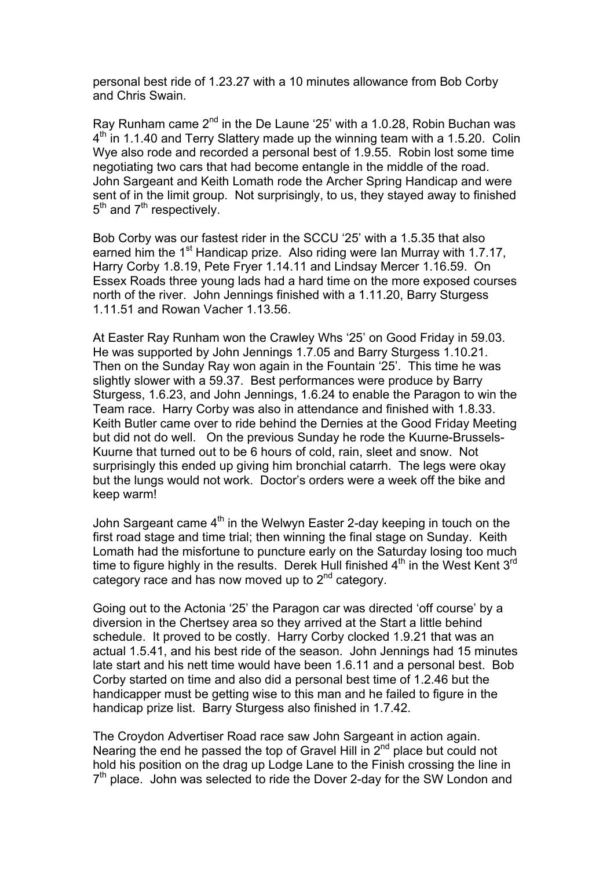personal best ride of 1.23.27 with a 10 minutes allowance from Bob Corby and Chris Swain.

Ray Runham came 2<sup>nd</sup> in the De Laune '25' with a 1.0.28, Robin Buchan was  $4<sup>th</sup>$  in 1.1.40 and Terry Slattery made up the winning team with a 1.5.20. Colin Wye also rode and recorded a personal best of 1.9.55. Robin lost some time negotiating two cars that had become entangle in the middle of the road. John Sargeant and Keith Lomath rode the Archer Spring Handicap and were sent of in the limit group. Not surprisingly, to us, they stayed away to finished  $5<sup>th</sup>$  and  $7<sup>th</sup>$  respectively.

Bob Corby was our fastest rider in the SCCU '25' with a 1.5.35 that also earned him the 1<sup>st</sup> Handicap prize. Also riding were Ian Murray with 1.7.17, Harry Corby 1.8.19, Pete Fryer 1.14.11 and Lindsay Mercer 1.16.59. On Essex Roads three young lads had a hard time on the more exposed courses north of the river. John Jennings finished with a 1.11.20, Barry Sturgess 1.11.51 and Rowan Vacher 1.13.56.

At Easter Ray Runham won the Crawley Whs '25' on Good Friday in 59.03. He was supported by John Jennings 1.7.05 and Barry Sturgess 1.10.21. Then on the Sunday Ray won again in the Fountain '25'. This time he was slightly slower with a 59.37. Best performances were produce by Barry Sturgess, 1.6.23, and John Jennings, 1.6.24 to enable the Paragon to win the Team race. Harry Corby was also in attendance and finished with 1.8.33. Keith Butler came over to ride behind the Dernies at the Good Friday Meeting but did not do well. On the previous Sunday he rode the Kuurne-Brussels-Kuurne that turned out to be 6 hours of cold, rain, sleet and snow. Not surprisingly this ended up giving him bronchial catarrh. The legs were okay but the lungs would not work. Doctor's orders were a week off the bike and keep warm!

John Sargeant came  $4<sup>th</sup>$  in the Welwyn Easter 2-day keeping in touch on the first road stage and time trial; then winning the final stage on Sunday. Keith Lomath had the misfortune to puncture early on the Saturday losing too much time to figure highly in the results. Derek Hull finished  $4<sup>th</sup>$  in the West Kent 3<sup>rd</sup> category race and has now moved up to  $2<sup>nd</sup>$  category.

Going out to the Actonia '25' the Paragon car was directed 'off course' by a diversion in the Chertsey area so they arrived at the Start a little behind schedule. It proved to be costly. Harry Corby clocked 1.9.21 that was an actual 1.5.41, and his best ride of the season. John Jennings had 15 minutes late start and his nett time would have been 1.6.11 and a personal best. Bob Corby started on time and also did a personal best time of 1.2.46 but the handicapper must be getting wise to this man and he failed to figure in the handicap prize list. Barry Sturgess also finished in 1.7.42.

The Croydon Advertiser Road race saw John Sargeant in action again. Nearing the end he passed the top of Gravel Hill in  $2^{nd}$  place but could not hold his position on the drag up Lodge Lane to the Finish crossing the line in  $7<sup>th</sup>$  place. John was selected to ride the Dover 2-day for the SW London and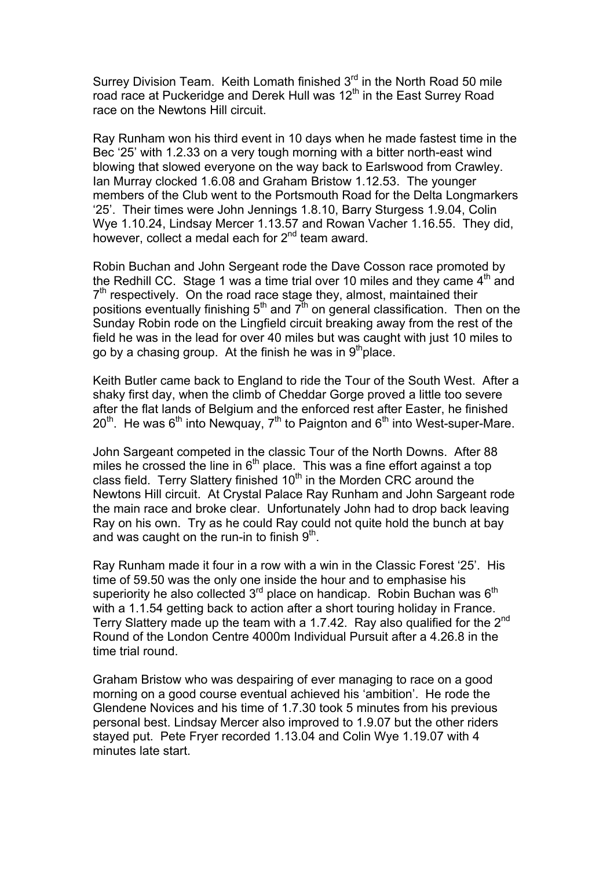Surrey Division Team. Keith Lomath finished 3<sup>rd</sup> in the North Road 50 mile road race at Puckeridge and Derek Hull was 12<sup>th</sup> in the East Surrey Road race on the Newtons Hill circuit.

Ray Runham won his third event in 10 days when he made fastest time in the Bec '25' with 1.2.33 on a very tough morning with a bitter north-east wind blowing that slowed everyone on the way back to Earlswood from Crawley. Ian Murray clocked 1.6.08 and Graham Bristow 1.12.53. The younger members of the Club went to the Portsmouth Road for the Delta Longmarkers '25'. Their times were John Jennings 1.8.10, Barry Sturgess 1.9.04, Colin Wye 1.10.24, Lindsay Mercer 1.13.57 and Rowan Vacher 1.16.55. They did, however, collect a medal each for 2<sup>nd</sup> team award.

Robin Buchan and John Sergeant rode the Dave Cosson race promoted by the Redhill CC. Stage 1 was a time trial over 10 miles and they came  $4<sup>th</sup>$  and  $7<sup>th</sup>$  respectively. On the road race stage they, almost, maintained their positions eventually finishing  $5<sup>th</sup>$  and  $7<sup>th</sup>$  on general classification. Then on the Sunday Robin rode on the Lingfield circuit breaking away from the rest of the field he was in the lead for over 40 miles but was caught with just 10 miles to go by a chasing group. At the finish he was in  $9<sup>th</sup>$  place.

Keith Butler came back to England to ride the Tour of the South West. After a shaky first day, when the climb of Cheddar Gorge proved a little too severe after the flat lands of Belgium and the enforced rest after Easter, he finished  $20<sup>th</sup>$ . He was 6<sup>th</sup> into Newguay, 7<sup>th</sup> to Paignton and 6<sup>th</sup> into West-super-Mare.

John Sargeant competed in the classic Tour of the North Downs. After 88 miles he crossed the line in  $6<sup>th</sup>$  place. This was a fine effort against a top class field. Terry Slattery finished  $10<sup>th</sup>$  in the Morden CRC around the Newtons Hill circuit. At Crystal Palace Ray Runham and John Sargeant rode the main race and broke clear. Unfortunately John had to drop back leaving Ray on his own. Try as he could Ray could not quite hold the bunch at bay and was caught on the run-in to finish  $9<sup>th</sup>$ .

Ray Runham made it four in a row with a win in the Classic Forest '25'. His time of 59.50 was the only one inside the hour and to emphasise his superiority he also collected  $3^{rd}$  place on handicap. Robin Buchan was  $6^{th}$ with a 1.1.54 getting back to action after a short touring holiday in France. Terry Slattery made up the team with a 1.7.42. Ray also qualified for the 2<sup>nd</sup> Round of the London Centre 4000m Individual Pursuit after a 4.26.8 in the time trial round.

Graham Bristow who was despairing of ever managing to race on a good morning on a good course eventual achieved his 'ambition'. He rode the Glendene Novices and his time of 1.7.30 took 5 minutes from his previous personal best. Lindsay Mercer also improved to 1.9.07 but the other riders stayed put. Pete Fryer recorded 1.13.04 and Colin Wye 1.19.07 with 4 minutes late start.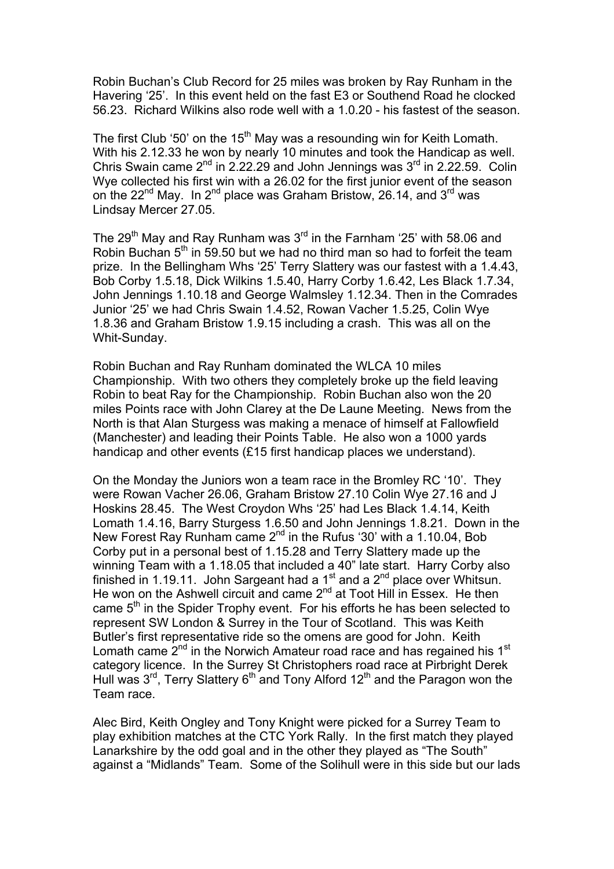Robin Buchan's Club Record for 25 miles was broken by Ray Runham in the Havering '25'. In this event held on the fast E3 or Southend Road he clocked 56.23. Richard Wilkins also rode well with a 1.0.20 - his fastest of the season.

The first Club '50' on the 15<sup>th</sup> May was a resounding win for Keith Lomath. With his 2.12.33 he won by nearly 10 minutes and took the Handicap as well. Chris Swain came  $2^{nd}$  in 2.22.29 and John Jennings was  $3^{rd}$  in 2.22.59. Colin Wye collected his first win with a 26.02 for the first junior event of the season on the 22<sup>nd</sup> May. In 2<sup>nd</sup> place was Graham Bristow, 26.14, and 3<sup>rd</sup> was Lindsay Mercer 27.05.

The 29<sup>th</sup> May and Ray Runham was 3<sup>rd</sup> in the Farnham '25' with 58.06 and Robin Buchan  $5<sup>th</sup>$  in 59.50 but we had no third man so had to forfeit the team prize. In the Bellingham Whs '25' Terry Slattery was our fastest with a 1.4.43, Bob Corby 1.5.18, Dick Wilkins 1.5.40, Harry Corby 1.6.42, Les Black 1.7.34, John Jennings 1.10.18 and George Walmsley 1.12.34. Then in the Comrades Junior '25' we had Chris Swain 1.4.52, Rowan Vacher 1.5.25, Colin Wye 1.8.36 and Graham Bristow 1.9.15 including a crash. This was all on the Whit-Sunday.

Robin Buchan and Ray Runham dominated the WLCA 10 miles Championship. With two others they completely broke up the field leaving Robin to beat Ray for the Championship. Robin Buchan also won the 20 miles Points race with John Clarey at the De Laune Meeting. News from the North is that Alan Sturgess was making a menace of himself at Fallowfield (Manchester) and leading their Points Table. He also won a 1000 yards handicap and other events (£15 first handicap places we understand).

On the Monday the Juniors won a team race in the Bromley RC '10'. They were Rowan Vacher 26.06, Graham Bristow 27.10 Colin Wye 27.16 and J Hoskins 28.45. The West Croydon Whs '25' had Les Black 1.4.14, Keith Lomath 1.4.16, Barry Sturgess 1.6.50 and John Jennings 1.8.21. Down in the New Forest Ray Runham came 2<sup>nd</sup> in the Rufus '30' with a 1.10.04, Bob Corby put in a personal best of 1.15.28 and Terry Slattery made up the winning Team with a 1.18.05 that included a 40" late start. Harry Corby also finished in 1.19.11. John Sargeant had a  $1<sup>st</sup>$  and a  $2<sup>nd</sup>$  place over Whitsun. He won on the Ashwell circuit and came  $2^{nd}$  at Toot Hill in Essex. He then came 5<sup>th</sup> in the Spider Trophy event. For his efforts he has been selected to represent SW London & Surrey in the Tour of Scotland. This was Keith Butler's first representative ride so the omens are good for John. Keith Lomath came  $2<sup>nd</sup>$  in the Norwich Amateur road race and has regained his 1<sup>st</sup> category licence. In the Surrey St Christophers road race at Pirbright Derek Hull was  $3^{rd}$ , Terry Slattery  $6^{th}$  and Tony Alford  $12^{th}$  and the Paragon won the Team race.

Alec Bird, Keith Ongley and Tony Knight were picked for a Surrey Team to play exhibition matches at the CTC York Rally. In the first match they played Lanarkshire by the odd goal and in the other they played as "The South" against a "Midlands" Team. Some of the Solihull were in this side but our lads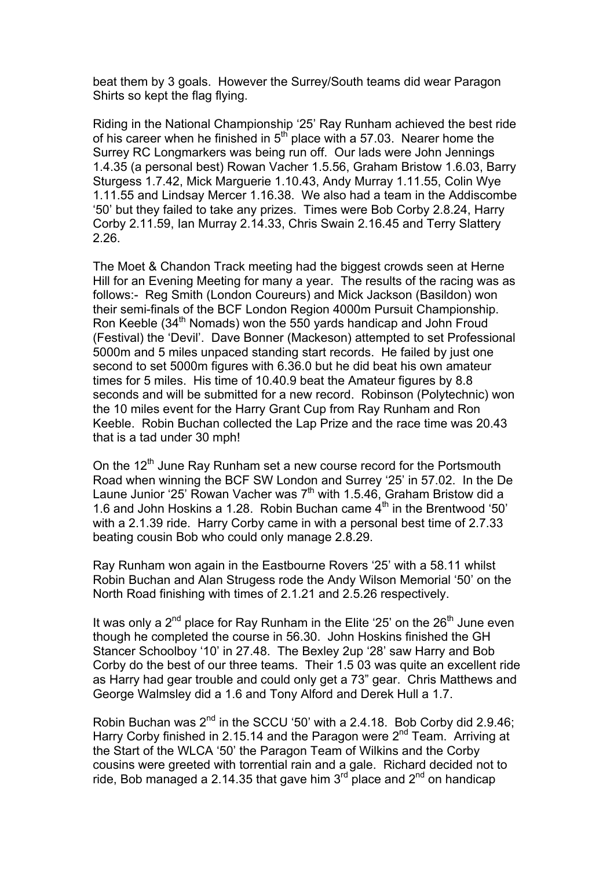beat them by 3 goals. However the Surrey/South teams did wear Paragon Shirts so kept the flag flying.

Riding in the National Championship '25' Ray Runham achieved the best ride of his career when he finished in  $5<sup>th</sup>$  place with a 57.03. Nearer home the Surrey RC Longmarkers was being run off. Our lads were John Jennings 1.4.35 (a personal best) Rowan Vacher 1.5.56, Graham Bristow 1.6.03, Barry Sturgess 1.7.42, Mick Marguerie 1.10.43, Andy Murray 1.11.55, Colin Wye 1.11.55 and Lindsay Mercer 1.16.38. We also had a team in the Addiscombe '50' but they failed to take any prizes. Times were Bob Corby 2.8.24, Harry Corby 2.11.59, Ian Murray 2.14.33, Chris Swain 2.16.45 and Terry Slattery 2.26.

The Moet & Chandon Track meeting had the biggest crowds seen at Herne Hill for an Evening Meeting for many a year. The results of the racing was as follows:- Reg Smith (London Coureurs) and Mick Jackson (Basildon) won their semi-finals of the BCF London Region 4000m Pursuit Championship. Ron Keeble (34<sup>th</sup> Nomads) won the 550 yards handicap and John Froud (Festival) the 'Devil'. Dave Bonner (Mackeson) attempted to set Professional 5000m and 5 miles unpaced standing start records. He failed by just one second to set 5000m figures with 6.36.0 but he did beat his own amateur times for 5 miles. His time of 10.40.9 beat the Amateur figures by 8.8 seconds and will be submitted for a new record. Robinson (Polytechnic) won the 10 miles event for the Harry Grant Cup from Ray Runham and Ron Keeble. Robin Buchan collected the Lap Prize and the race time was 20.43 that is a tad under 30 mph!

On the 12<sup>th</sup> June Ray Runham set a new course record for the Portsmouth Road when winning the BCF SW London and Surrey '25' in 57.02. In the De Laune Junior '25' Rowan Vacher was  $7<sup>th</sup>$  with 1.5.46, Graham Bristow did a 1.6 and John Hoskins a 1.28. Robin Buchan came  $4<sup>th</sup>$  in the Brentwood '50' with a 2.1.39 ride. Harry Corby came in with a personal best time of 2.7.33 beating cousin Bob who could only manage 2.8.29.

Ray Runham won again in the Eastbourne Rovers '25' with a 58.11 whilst Robin Buchan and Alan Strugess rode the Andy Wilson Memorial '50' on the North Road finishing with times of 2.1.21 and 2.5.26 respectively.

It was only a  $2^{nd}$  place for Ray Runham in the Elite '25' on the  $26<sup>th</sup>$  June even though he completed the course in 56.30. John Hoskins finished the GH Stancer Schoolboy '10' in 27.48. The Bexley 2up '28' saw Harry and Bob Corby do the best of our three teams. Their 1.5 03 was quite an excellent ride as Harry had gear trouble and could only get a 73" gear. Chris Matthews and George Walmsley did a 1.6 and Tony Alford and Derek Hull a 1.7.

Robin Buchan was 2<sup>nd</sup> in the SCCU '50' with a 2.4.18. Bob Corby did 2.9.46; Harry Corby finished in 2.15.14 and the Paragon were  $2^{nd}$  Team. Arriving at the Start of the WLCA '50' the Paragon Team of Wilkins and the Corby cousins were greeted with torrential rain and a gale. Richard decided not to ride, Bob managed a 2.14.35 that gave him  $3^{rd}$  place and  $2^{nd}$  on handicap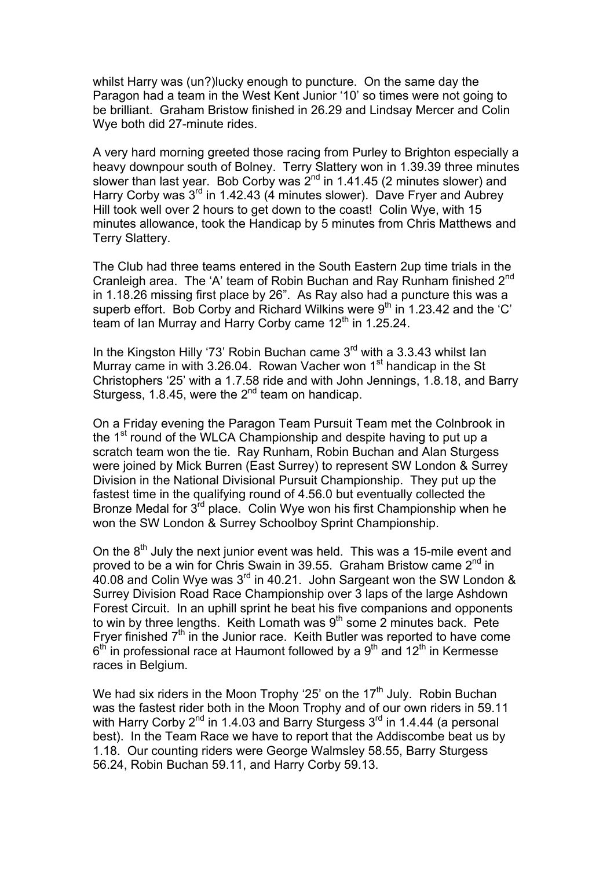whilst Harry was (un?)lucky enough to puncture. On the same day the Paragon had a team in the West Kent Junior '10' so times were not going to be brilliant. Graham Bristow finished in 26.29 and Lindsay Mercer and Colin Wye both did 27-minute rides.

A very hard morning greeted those racing from Purley to Brighton especially a heavy downpour south of Bolney. Terry Slattery won in 1.39.39 three minutes slower than last year. Bob Corby was  $2<sup>nd</sup>$  in 1.41.45 (2 minutes slower) and Harry Corby was  $3<sup>rd</sup>$  in 1.42.43 (4 minutes slower). Dave Fryer and Aubrey Hill took well over 2 hours to get down to the coast! Colin Wye, with 15 minutes allowance, took the Handicap by 5 minutes from Chris Matthews and Terry Slattery.

The Club had three teams entered in the South Eastern 2up time trials in the Cranleigh area. The 'A' team of Robin Buchan and Ray Runham finished 2<sup>nd</sup> in 1.18.26 missing first place by 26". As Ray also had a puncture this was a superb effort. Bob Corby and Richard Wilkins were  $9<sup>th</sup>$  in 1.23.42 and the 'C' team of Ian Murray and Harry Corby came  $12<sup>th</sup>$  in 1.25.24.

In the Kingston Hilly '73' Robin Buchan came 3<sup>rd</sup> with a 3.3.43 whilst Ian Murray came in with  $3.26.04$ . Rowan Vacher won  $1<sup>st</sup>$  handicap in the St Christophers '25' with a 1.7.58 ride and with John Jennings, 1.8.18, and Barry Sturgess, 1.8.45, were the  $2<sup>nd</sup>$  team on handicap.

On a Friday evening the Paragon Team Pursuit Team met the Colnbrook in the 1<sup>st</sup> round of the WLCA Championship and despite having to put up a scratch team won the tie. Ray Runham, Robin Buchan and Alan Sturgess were joined by Mick Burren (East Surrey) to represent SW London & Surrey Division in the National Divisional Pursuit Championship. They put up the fastest time in the qualifying round of 4.56.0 but eventually collected the Bronze Medal for  $3^{rd}$  place. Colin Wye won his first Championship when he won the SW London & Surrey Schoolboy Sprint Championship.

On the  $8<sup>th</sup>$  July the next junior event was held. This was a 15-mile event and proved to be a win for Chris Swain in 39.55. Graham Bristow came  $2^{nd}$  in 40.08 and Colin Wye was 3rd in 40.21. John Sargeant won the SW London & Surrey Division Road Race Championship over 3 laps of the large Ashdown Forest Circuit. In an uphill sprint he beat his five companions and opponents to win by three lengths. Keith Lomath was  $9<sup>th</sup>$  some 2 minutes back. Pete Fryer finished 7th in the Junior race. Keith Butler was reported to have come  $6<sup>th</sup>$  in professional race at Haumont followed by a  $9<sup>th</sup>$  and 12<sup>th</sup> in Kermesse races in Belgium.

We had six riders in the Moon Trophy '25' on the  $17<sup>th</sup>$  July. Robin Buchan was the fastest rider both in the Moon Trophy and of our own riders in 59.11 with Harry Corby  $2^{nd}$  in 1.4.03 and Barry Sturgess  $3^{rd}$  in 1.4.44 (a personal best). In the Team Race we have to report that the Addiscombe beat us by 1.18. Our counting riders were George Walmsley 58.55, Barry Sturgess 56.24, Robin Buchan 59.11, and Harry Corby 59.13.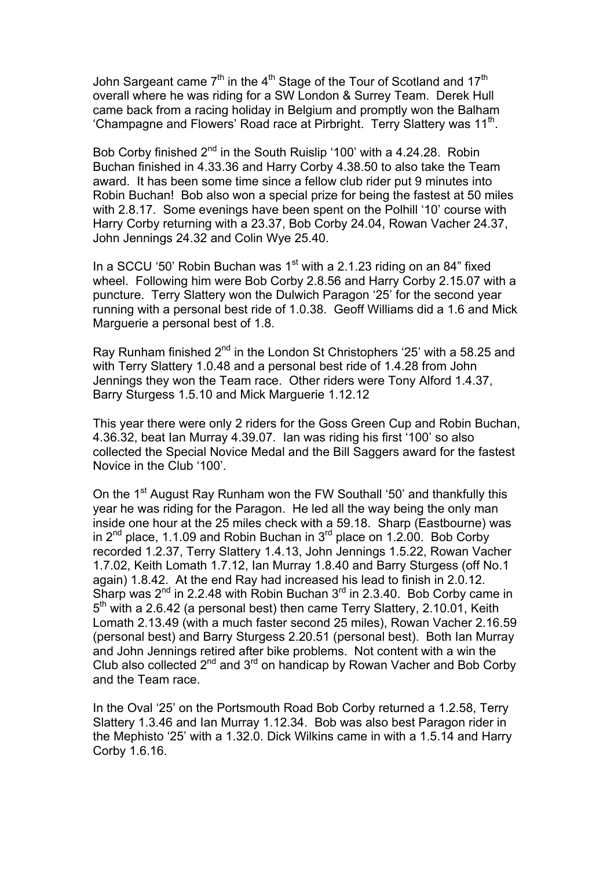John Sargeant came  $7<sup>th</sup>$  in the 4<sup>th</sup> Stage of the Tour of Scotland and 17<sup>th</sup> overall where he was riding for a SW London & Surrey Team. Derek Hull came back from a racing holiday in Belgium and promptly won the Balham 'Champagne and Flowers' Road race at Pirbright. Terry Slattery was  $11<sup>th</sup>$ .

Bob Corby finished 2<sup>nd</sup> in the South Ruislip '100' with a 4.24.28. Robin Buchan finished in 4.33.36 and Harry Corby 4.38.50 to also take the Team award. It has been some time since a fellow club rider put 9 minutes into Robin Buchan! Bob also won a special prize for being the fastest at 50 miles with 2.8.17. Some evenings have been spent on the Polhill '10' course with Harry Corby returning with a 23.37, Bob Corby 24.04, Rowan Vacher 24.37, John Jennings 24.32 and Colin Wye 25.40.

In a SCCU '50' Robin Buchan was  $1<sup>st</sup>$  with a 2.1.23 riding on an 84" fixed wheel. Following him were Bob Corby 2.8.56 and Harry Corby 2.15.07 with a puncture. Terry Slattery won the Dulwich Paragon '25' for the second year running with a personal best ride of 1.0.38. Geoff Williams did a 1.6 and Mick Marguerie a personal best of 1.8.

Ray Runham finished 2<sup>nd</sup> in the London St Christophers '25' with a 58.25 and with Terry Slattery 1.0.48 and a personal best ride of 1.4.28 from John Jennings they won the Team race. Other riders were Tony Alford 1.4.37, Barry Sturgess 1.5.10 and Mick Marguerie 1.12.12

This year there were only 2 riders for the Goss Green Cup and Robin Buchan, 4.36.32, beat Ian Murray 4.39.07. Ian was riding his first '100' so also collected the Special Novice Medal and the Bill Saggers award for the fastest Novice in the Club '100'.

On the 1<sup>st</sup> August Ray Runham won the FW Southall '50' and thankfully this year he was riding for the Paragon. He led all the way being the only man inside one hour at the 25 miles check with a 59.18. Sharp (Eastbourne) was in  $2^{nd}$  place, 1.1.09 and Robin Buchan in  $3^{rd}$  place on 1.2.00. Bob Corby recorded 1.2.37, Terry Slattery 1.4.13, John Jennings 1.5.22, Rowan Vacher 1.7.02, Keith Lomath 1.7.12, Ian Murray 1.8.40 and Barry Sturgess (off No.1 again) 1.8.42. At the end Ray had increased his lead to finish in 2.0.12. Sharp was  $2^{nd}$  in 2.2.48 with Robin Buchan  $3^{rd}$  in 2.3.40. Bob Corby came in  $5<sup>th</sup>$  with a 2.6.42 (a personal best) then came Terry Slattery, 2.10.01, Keith Lomath 2.13.49 (with a much faster second 25 miles), Rowan Vacher 2.16.59 (personal best) and Barry Sturgess 2.20.51 (personal best). Both Ian Murray and John Jennings retired after bike problems. Not content with a win the Club also collected  $2^{nd}$  and  $3^{rd}$  on handicap by Rowan Vacher and Bob Corby and the Team race.

In the Oval '25' on the Portsmouth Road Bob Corby returned a 1.2.58, Terry Slattery 1.3.46 and Ian Murray 1.12.34. Bob was also best Paragon rider in the Mephisto '25' with a 1.32.0. Dick Wilkins came in with a 1.5.14 and Harry Corby 1.6.16.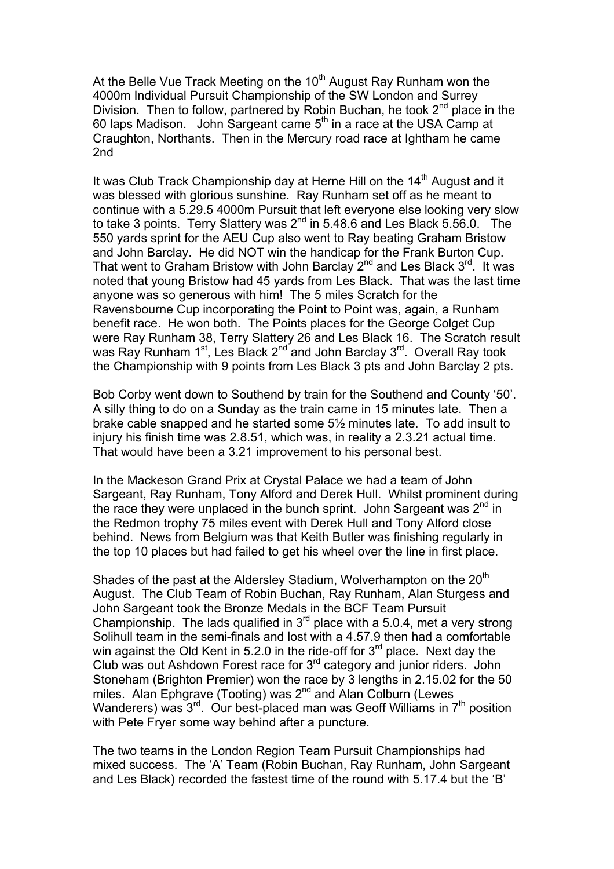At the Belle Vue Track Meeting on the 10<sup>th</sup> August Ray Runham won the 4000m Individual Pursuit Championship of the SW London and Surrey Division. Then to follow, partnered by Robin Buchan, he took  $2^{nd}$  place in the 60 laps Madison. John Sargeant came  $5<sup>th</sup>$  in a race at the USA Camp at Craughton, Northants. Then in the Mercury road race at Ightham he came 2nd

It was Club Track Championship day at Herne Hill on the 14<sup>th</sup> August and it was blessed with glorious sunshine. Ray Runham set off as he meant to continue with a 5.29.5 4000m Pursuit that left everyone else looking very slow to take 3 points. Terry Slattery was  $2^{nd}$  in 5.48.6 and Les Black 5.56.0. The 550 yards sprint for the AEU Cup also went to Ray beating Graham Bristow and John Barclay. He did NOT win the handicap for the Frank Burton Cup. That went to Graham Bristow with John Barclay  $2^{nd}$  and Les Black  $3^{rd}$ . It was noted that young Bristow had 45 yards from Les Black. That was the last time anyone was so generous with him! The 5 miles Scratch for the Ravensbourne Cup incorporating the Point to Point was, again, a Runham benefit race. He won both. The Points places for the George Colget Cup were Ray Runham 38, Terry Slattery 26 and Les Black 16. The Scratch result was Ray Runham 1<sup>st</sup>, Les Black 2<sup>nd</sup> and John Barclay 3<sup>rd</sup>. Overall Ray took the Championship with 9 points from Les Black 3 pts and John Barclay 2 pts.

Bob Corby went down to Southend by train for the Southend and County '50'. A silly thing to do on a Sunday as the train came in 15 minutes late. Then a brake cable snapped and he started some 5½ minutes late. To add insult to injury his finish time was 2.8.51, which was, in reality a 2.3.21 actual time. That would have been a 3.21 improvement to his personal best.

In the Mackeson Grand Prix at Crystal Palace we had a team of John Sargeant, Ray Runham, Tony Alford and Derek Hull. Whilst prominent during the race they were unplaced in the bunch sprint. John Sargeant was  $2^{nd}$  in the Redmon trophy 75 miles event with Derek Hull and Tony Alford close behind. News from Belgium was that Keith Butler was finishing regularly in the top 10 places but had failed to get his wheel over the line in first place.

Shades of the past at the Aldersley Stadium, Wolverhampton on the 20<sup>th</sup> August. The Club Team of Robin Buchan, Ray Runham, Alan Sturgess and John Sargeant took the Bronze Medals in the BCF Team Pursuit Championship. The lads qualified in  $3<sup>rd</sup>$  place with a 5.0.4, met a very strong Solihull team in the semi-finals and lost with a 4.57.9 then had a comfortable win against the Old Kent in 5.2.0 in the ride-off for  $3<sup>rd</sup>$  place. Next day the Club was out Ashdown Forest race for 3rd category and junior riders. John Stoneham (Brighton Premier) won the race by 3 lengths in 2.15.02 for the 50 miles. Alan Ephgrave (Tooting) was 2<sup>nd</sup> and Alan Colburn (Lewes Wanderers) was  $3^{rd}$ . Our best-placed man was Geoff Williams in  $7<sup>th</sup>$  position with Pete Fryer some way behind after a puncture.

The two teams in the London Region Team Pursuit Championships had mixed success. The 'A' Team (Robin Buchan, Ray Runham, John Sargeant and Les Black) recorded the fastest time of the round with 5.17.4 but the 'B'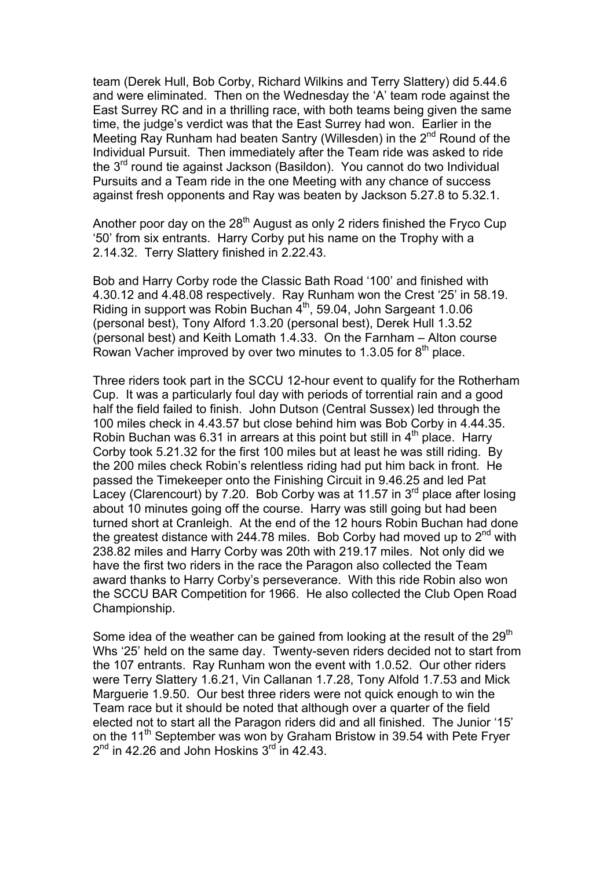team (Derek Hull, Bob Corby, Richard Wilkins and Terry Slattery) did 5.44.6 and were eliminated. Then on the Wednesday the 'A' team rode against the East Surrey RC and in a thrilling race, with both teams being given the same time, the judge's verdict was that the East Surrey had won. Earlier in the Meeting Ray Runham had beaten Santry (Willesden) in the 2<sup>nd</sup> Round of the Individual Pursuit. Then immediately after the Team ride was asked to ride the 3<sup>rd</sup> round tie against Jackson (Basildon). You cannot do two Individual Pursuits and a Team ride in the one Meeting with any chance of success against fresh opponents and Ray was beaten by Jackson 5.27.8 to 5.32.1.

Another poor day on the  $28<sup>th</sup>$  August as only 2 riders finished the Fryco Cup '50' from six entrants. Harry Corby put his name on the Trophy with a 2.14.32. Terry Slattery finished in 2.22.43.

Bob and Harry Corby rode the Classic Bath Road '100' and finished with 4.30.12 and 4.48.08 respectively. Ray Runham won the Crest '25' in 58.19. Riding in support was Robin Buchan  $4<sup>th</sup>$ , 59.04, John Sargeant 1.0.06 (personal best), Tony Alford 1.3.20 (personal best), Derek Hull 1.3.52 (personal best) and Keith Lomath 1.4.33. On the Farnham – Alton course Rowan Vacher improved by over two minutes to 1.3.05 for  $8<sup>th</sup>$  place.

Three riders took part in the SCCU 12-hour event to qualify for the Rotherham Cup. It was a particularly foul day with periods of torrential rain and a good half the field failed to finish. John Dutson (Central Sussex) led through the 100 miles check in 4.43.57 but close behind him was Bob Corby in 4.44.35. Robin Buchan was 6.31 in arrears at this point but still in  $4<sup>th</sup>$  place. Harry Corby took 5.21.32 for the first 100 miles but at least he was still riding. By the 200 miles check Robin's relentless riding had put him back in front. He passed the Timekeeper onto the Finishing Circuit in 9.46.25 and led Pat Lacey (Clarencourt) by 7.20. Bob Corby was at 11.57 in 3<sup>rd</sup> place after losing about 10 minutes going off the course. Harry was still going but had been turned short at Cranleigh. At the end of the 12 hours Robin Buchan had done the greatest distance with 244.78 miles. Bob Corby had moved up to  $2<sup>nd</sup>$  with 238.82 miles and Harry Corby was 20th with 219.17 miles. Not only did we have the first two riders in the race the Paragon also collected the Team award thanks to Harry Corby's perseverance. With this ride Robin also won the SCCU BAR Competition for 1966. He also collected the Club Open Road Championship.

Some idea of the weather can be gained from looking at the result of the  $29<sup>th</sup>$ Whs '25' held on the same day. Twenty-seven riders decided not to start from the 107 entrants. Ray Runham won the event with 1.0.52. Our other riders were Terry Slattery 1.6.21, Vin Callanan 1.7.28, Tony Alfold 1.7.53 and Mick Marguerie 1.9.50. Our best three riders were not quick enough to win the Team race but it should be noted that although over a quarter of the field elected not to start all the Paragon riders did and all finished. The Junior '15' on the 11<sup>th</sup> September was won by Graham Bristow in 39.54 with Pete Fryer  $2<sup>nd</sup>$  in 42.26 and John Hoskins  $3<sup>rd</sup>$  in 42.43.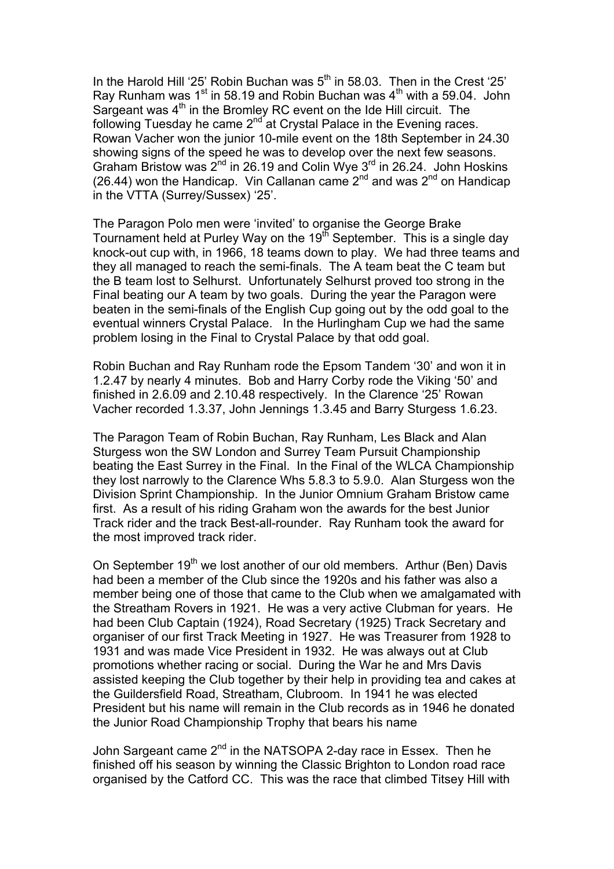In the Harold Hill '25' Robin Buchan was  $5<sup>th</sup>$  in 58.03. Then in the Crest '25' Ray Runham was  $1<sup>st</sup>$  in 58.19 and Robin Buchan was  $4<sup>th</sup>$  with a 59.04. John Sargeant was 4<sup>th</sup> in the Bromley RC event on the Ide Hill circuit. The following Tuesday he came  $2^{nd'}$  at Crystal Palace in the Evening races. Rowan Vacher won the junior 10-mile event on the 18th September in 24.30 showing signs of the speed he was to develop over the next few seasons. Graham Bristow was  $2^{nd}$  in 26.19 and Colin Wye  $3^{rd}$  in 26.24. John Hoskins (26.44) won the Handicap. Vin Callanan came  $2^{nd}$  and was  $2^{nd}$  on Handicap in the VTTA (Surrey/Sussex) '25'.

The Paragon Polo men were 'invited' to organise the George Brake Tournament held at Purley Way on the 19<sup>th</sup> September. This is a single day knock-out cup with, in 1966, 18 teams down to play. We had three teams and they all managed to reach the semi-finals. The A team beat the C team but the B team lost to Selhurst. Unfortunately Selhurst proved too strong in the Final beating our A team by two goals. During the year the Paragon were beaten in the semi-finals of the English Cup going out by the odd goal to the eventual winners Crystal Palace. In the Hurlingham Cup we had the same problem losing in the Final to Crystal Palace by that odd goal.

Robin Buchan and Ray Runham rode the Epsom Tandem '30' and won it in 1.2.47 by nearly 4 minutes. Bob and Harry Corby rode the Viking '50' and finished in 2.6.09 and 2.10.48 respectively. In the Clarence '25' Rowan Vacher recorded 1.3.37, John Jennings 1.3.45 and Barry Sturgess 1.6.23.

The Paragon Team of Robin Buchan, Ray Runham, Les Black and Alan Sturgess won the SW London and Surrey Team Pursuit Championship beating the East Surrey in the Final. In the Final of the WLCA Championship they lost narrowly to the Clarence Whs 5.8.3 to 5.9.0. Alan Sturgess won the Division Sprint Championship. In the Junior Omnium Graham Bristow came first. As a result of his riding Graham won the awards for the best Junior Track rider and the track Best-all-rounder. Ray Runham took the award for the most improved track rider.

On September 19<sup>th</sup> we lost another of our old members. Arthur (Ben) Davis had been a member of the Club since the 1920s and his father was also a member being one of those that came to the Club when we amalgamated with the Streatham Rovers in 1921. He was a very active Clubman for years. He had been Club Captain (1924), Road Secretary (1925) Track Secretary and organiser of our first Track Meeting in 1927. He was Treasurer from 1928 to 1931 and was made Vice President in 1932. He was always out at Club promotions whether racing or social. During the War he and Mrs Davis assisted keeping the Club together by their help in providing tea and cakes at the Guildersfield Road, Streatham, Clubroom. In 1941 he was elected President but his name will remain in the Club records as in 1946 he donated the Junior Road Championship Trophy that bears his name

John Sargeant came 2<sup>nd</sup> in the NATSOPA 2-day race in Essex. Then he finished off his season by winning the Classic Brighton to London road race organised by the Catford CC. This was the race that climbed Titsey Hill with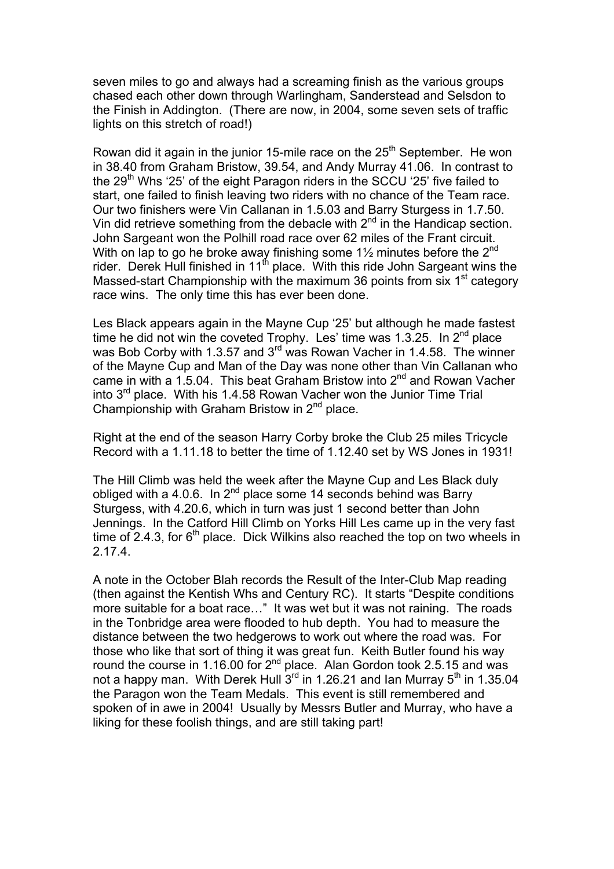seven miles to go and always had a screaming finish as the various groups chased each other down through Warlingham, Sanderstead and Selsdon to the Finish in Addington. (There are now, in 2004, some seven sets of traffic lights on this stretch of road!)

Rowan did it again in the junior 15-mile race on the  $25<sup>th</sup>$  September. He won in 38.40 from Graham Bristow, 39.54, and Andy Murray 41.06. In contrast to the  $29<sup>th</sup>$  Whs '25' of the eight Paragon riders in the SCCU '25' five failed to start, one failed to finish leaving two riders with no chance of the Team race. Our two finishers were Vin Callanan in 1.5.03 and Barry Sturgess in 1.7.50. Vin did retrieve something from the debacle with  $2<sup>nd</sup>$  in the Handicap section. John Sargeant won the Polhill road race over 62 miles of the Frant circuit. With on lap to go he broke away finishing some  $1\frac{1}{2}$  minutes before the  $2^{nd}$ rider. Derek Hull finished in 11<sup>th</sup> place. With this ride John Sargeant wins the Massed-start Championship with the maximum 36 points from  $s$ ix 1<sup>st</sup> category race wins. The only time this has ever been done.

Les Black appears again in the Mayne Cup '25' but although he made fastest time he did not win the coveted Trophy. Les' time was 1.3.25. In  $2^{nd}$  place was Bob Corby with 1.3.57 and  $3<sup>rd</sup>$  was Rowan Vacher in 1.4.58. The winner of the Mayne Cup and Man of the Day was none other than Vin Callanan who came in with a 1.5.04. This beat Graham Bristow into  $2^{nd}$  and Rowan Vacher into 3rd place. With his 1.4.58 Rowan Vacher won the Junior Time Trial Championship with Graham Bristow in 2<sup>nd</sup> place.

Right at the end of the season Harry Corby broke the Club 25 miles Tricycle Record with a 1.11.18 to better the time of 1.12.40 set by WS Jones in 1931!

The Hill Climb was held the week after the Mayne Cup and Les Black duly obliged with a 4.0.6. In 2<sup>nd</sup> place some 14 seconds behind was Barry Sturgess, with 4.20.6, which in turn was just 1 second better than John Jennings. In the Catford Hill Climb on Yorks Hill Les came up in the very fast time of 2.4.3, for  $6<sup>th</sup>$  place. Dick Wilkins also reached the top on two wheels in 2.17.4.

A note in the October Blah records the Result of the Inter-Club Map reading (then against the Kentish Whs and Century RC). It starts "Despite conditions more suitable for a boat race…" It was wet but it was not raining. The roads in the Tonbridge area were flooded to hub depth. You had to measure the distance between the two hedgerows to work out where the road was. For those who like that sort of thing it was great fun. Keith Butler found his way round the course in 1.16.00 for  $2^{nd}$  place. Alan Gordon took 2.5.15 and was not a happy man. With Derek Hull  $3^{\text{rd}}$  in 1.26.21 and Ian Murray  $5^{\text{th}}$  in 1.35.04 the Paragon won the Team Medals. This event is still remembered and spoken of in awe in 2004! Usually by Messrs Butler and Murray, who have a liking for these foolish things, and are still taking part!